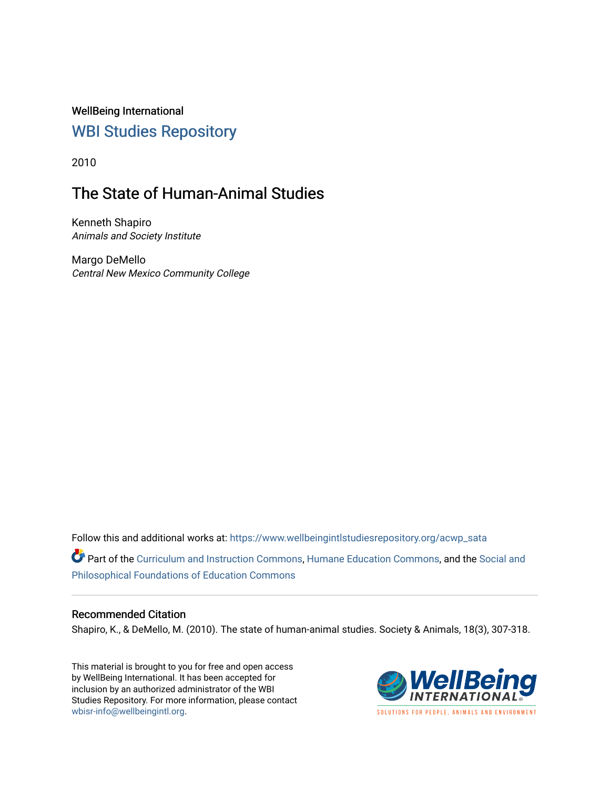WellBeing International [WBI Studies Repository](https://www.wellbeingintlstudiesrepository.org/)

2010

# The State of Human-Animal Studies

Kenneth Shapiro Animals and Society Institute

Margo DeMello Central New Mexico Community College

Follow this and additional works at: [https://www.wellbeingintlstudiesrepository.org/acwp\\_sata](https://www.wellbeingintlstudiesrepository.org/acwp_sata?utm_source=www.wellbeingintlstudiesrepository.org%2Facwp_sata%2F19&utm_medium=PDF&utm_campaign=PDFCoverPages) Part of the [Curriculum and Instruction Commons,](http://network.bepress.com/hgg/discipline/786?utm_source=www.wellbeingintlstudiesrepository.org%2Facwp_sata%2F19&utm_medium=PDF&utm_campaign=PDFCoverPages) [Humane Education Commons](http://network.bepress.com/hgg/discipline/1295?utm_source=www.wellbeingintlstudiesrepository.org%2Facwp_sata%2F19&utm_medium=PDF&utm_campaign=PDFCoverPages), and the Social and [Philosophical Foundations of Education Commons](http://network.bepress.com/hgg/discipline/799?utm_source=www.wellbeingintlstudiesrepository.org%2Facwp_sata%2F19&utm_medium=PDF&utm_campaign=PDFCoverPages) 

# Recommended Citation

Shapiro, K., & DeMello, M. (2010). The state of human-animal studies. Society & Animals, 18(3), 307-318.

This material is brought to you for free and open access by WellBeing International. It has been accepted for inclusion by an authorized administrator of the WBI Studies Repository. For more information, please contact [wbisr-info@wellbeingintl.org](mailto:wbisr-info@wellbeingintl.org).

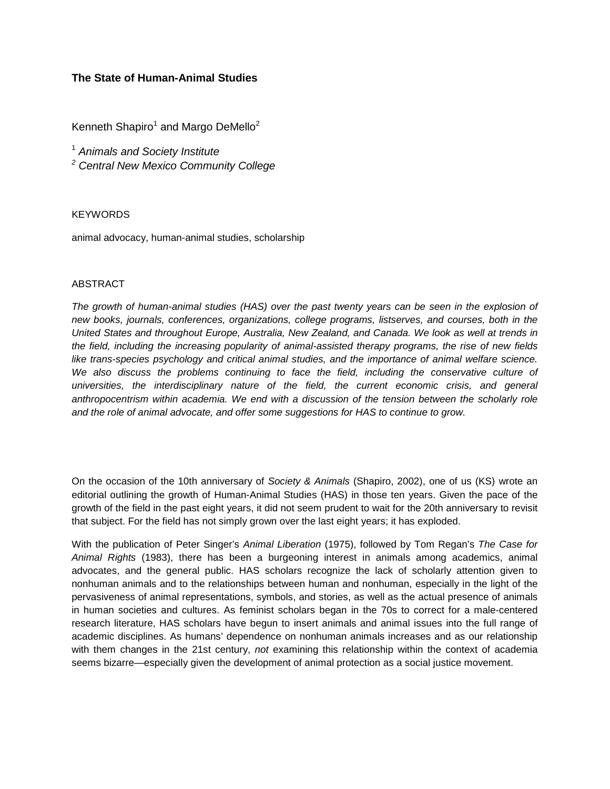# **The State of Human-Animal Studies**

Kenneth Shapiro<sup>1</sup> and Margo DeMello<sup>2</sup>

<sup>1</sup> *Animals and Society Institute*

*<sup>2</sup> Central New Mexico Community College*

#### **KEYWORDS**

animal advocacy, human-animal studies, scholarship

#### ABSTRACT

*The growth of human-animal studies (HAS) over the past twenty years can be seen in the explosion of new books, journals, conferences, organizations, college programs, listserves, and courses, both in the United States and throughout Europe, Australia, New Zealand, and Canada. We look as well at trends in the field, including the increasing popularity of animal-assisted therapy programs, the rise of new fields like trans-species psychology and critical animal studies, and the importance of animal welfare science. We also discuss the problems continuing to face the field, including the conservative culture of universities, the interdisciplinary nature of the field, the current economic crisis, and general anthropocentrism within academia. We end with a discussion of the tension between the scholarly role and the role of animal advocate, and offer some suggestions for HAS to continue to grow.*

On the occasion of the 10th anniversary of *Society & Animals* (Shapiro, 2002), one of us (KS) wrote an editorial outlining the growth of Human-Animal Studies (HAS) in those ten years. Given the pace of the growth of the field in the past eight years, it did not seem prudent to wait for the 20th anniversary to revisit that subject. For the field has not simply grown over the last eight years; it has exploded.

With the publication of Peter Singer's *Animal Liberation* (1975), followed by Tom Regan's *The Case for Animal Rights* (1983), there has been a burgeoning interest in animals among academics, animal advocates, and the general public. HAS scholars recognize the lack of scholarly attention given to nonhuman animals and to the relationships between human and nonhuman, especially in the light of the pervasiveness of animal representations, symbols, and stories, as well as the actual presence of animals in human societies and cultures. As feminist scholars began in the 70s to correct for a male-centered research literature, HAS scholars have begun to insert animals and animal issues into the full range of academic disciplines. As humans' dependence on nonhuman animals increases and as our relationship with them changes in the 21st century, *not* examining this relationship within the context of academia seems bizarre—especially given the development of animal protection as a social justice movement.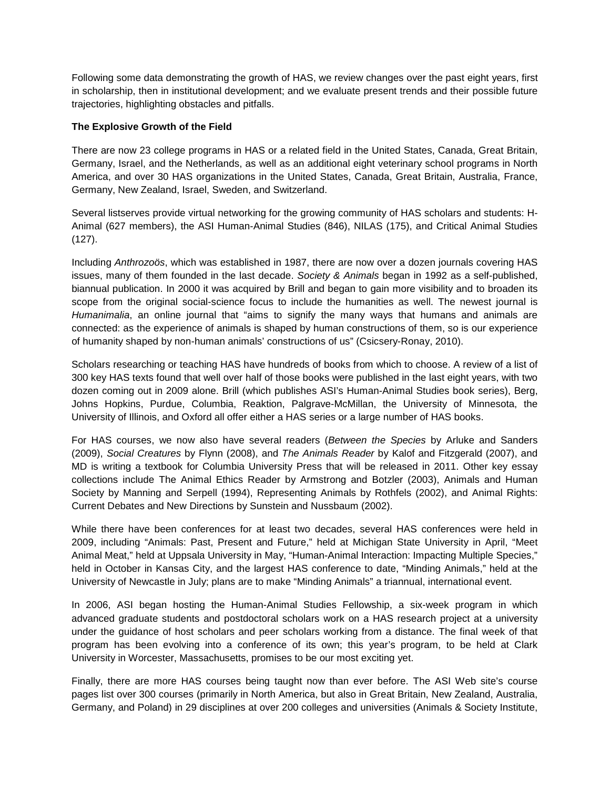Following some data demonstrating the growth of HAS, we review changes over the past eight years, first in scholarship, then in institutional development; and we evaluate present trends and their possible future trajectories, highlighting obstacles and pitfalls.

## **The Explosive Growth of the Field**

There are now 23 college programs in HAS or a related field in the United States, Canada, Great Britain, Germany, Israel, and the Netherlands, as well as an additional eight veterinary school programs in North America, and over 30 HAS organizations in the United States, Canada, Great Britain, Australia, France, Germany, New Zealand, Israel, Sweden, and Switzerland.

Several listserves provide virtual networking for the growing community of HAS scholars and students: H-Animal (627 members), the ASI Human-Animal Studies (846), NILAS (175), and Critical Animal Studies (127).

Including *Anthrozoös*, which was established in 1987, there are now over a dozen journals covering HAS issues, many of them founded in the last decade. *Society & Animals* began in 1992 as a self-published, biannual publication. In 2000 it was acquired by Brill and began to gain more visibility and to broaden its scope from the original social-science focus to include the humanities as well. The newest journal is *Humanimalia*, an online journal that "aims to signify the many ways that humans and animals are connected: as the experience of animals is shaped by human constructions of them, so is our experience of humanity shaped by non-human animals' constructions of us" (Csicsery-Ronay, 2010).

Scholars researching or teaching HAS have hundreds of books from which to choose. A review of a list of 300 key HAS texts found that well over half of those books were published in the last eight years, with two dozen coming out in 2009 alone. Brill (which publishes ASI's Human-Animal Studies book series), Berg, Johns Hopkins, Purdue, Columbia, Reaktion, Palgrave-McMillan, the University of Minnesota, the University of Illinois, and Oxford all offer either a HAS series or a large number of HAS books.

For HAS courses, we now also have several readers (*Between the Species* by Arluke and Sanders (2009), *Social Creatures* by Flynn (2008), and *The Animals Reader* by Kalof and Fitzgerald (2007), and MD is writing a textbook for Columbia University Press that will be released in 2011. Other key essay collections include The Animal Ethics Reader by Armstrong and Botzler (2003), Animals and Human Society by Manning and Serpell (1994), Representing Animals by Rothfels (2002), and Animal Rights: Current Debates and New Directions by Sunstein and Nussbaum (2002).

While there have been conferences for at least two decades, several HAS conferences were held in 2009, including "Animals: Past, Present and Future," held at Michigan State University in April, "Meet Animal Meat," held at Uppsala University in May, "Human-Animal Interaction: Impacting Multiple Species," held in October in Kansas City, and the largest HAS conference to date, "Minding Animals," held at the University of Newcastle in July; plans are to make "Minding Animals" a triannual, international event.

In 2006, ASI began hosting the Human-Animal Studies Fellowship, a six-week program in which advanced graduate students and postdoctoral scholars work on a HAS research project at a university under the guidance of host scholars and peer scholars working from a distance. The final week of that program has been evolving into a conference of its own; this year's program, to be held at Clark University in Worcester, Massachusetts, promises to be our most exciting yet.

Finally, there are more HAS courses being taught now than ever before. The ASI Web site's course pages list over 300 courses (primarily in North America, but also in Great Britain, New Zealand, Australia, Germany, and Poland) in 29 disciplines at over 200 colleges and universities (Animals & Society Institute,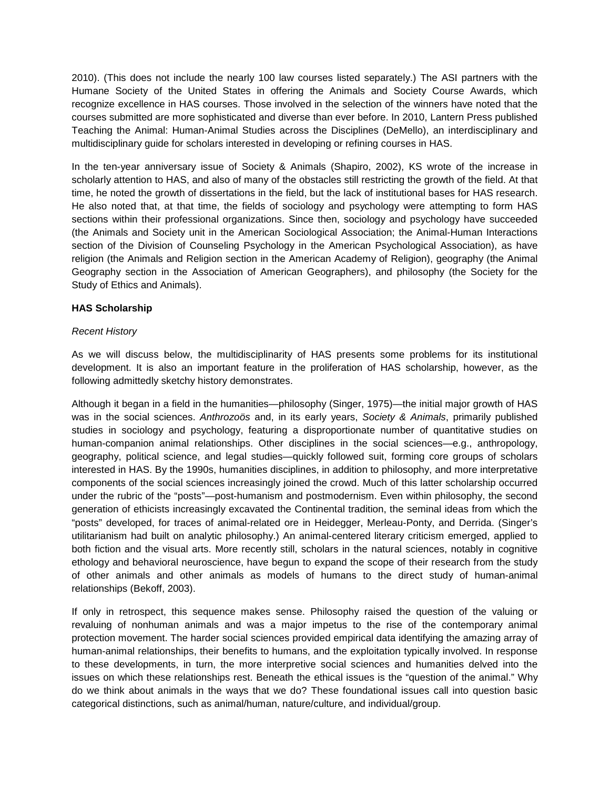2010). (This does not include the nearly 100 law courses listed separately.) The ASI partners with the Humane Society of the United States in offering the Animals and Society Course Awards, which recognize excellence in HAS courses. Those involved in the selection of the winners have noted that the courses submitted are more sophisticated and diverse than ever before. In 2010, Lantern Press published Teaching the Animal: Human-Animal Studies across the Disciplines (DeMello), an interdisciplinary and multidisciplinary guide for scholars interested in developing or refining courses in HAS.

In the ten-year anniversary issue of Society & Animals (Shapiro, 2002), KS wrote of the increase in scholarly attention to HAS, and also of many of the obstacles still restricting the growth of the field. At that time, he noted the growth of dissertations in the field, but the lack of institutional bases for HAS research. He also noted that, at that time, the fields of sociology and psychology were attempting to form HAS sections within their professional organizations. Since then, sociology and psychology have succeeded (the Animals and Society unit in the American Sociological Association; the Animal-Human Interactions section of the Division of Counseling Psychology in the American Psychological Association), as have religion (the Animals and Religion section in the American Academy of Religion), geography (the Animal Geography section in the Association of American Geographers), and philosophy (the Society for the Study of Ethics and Animals).

## **HAS Scholarship**

## *Recent History*

As we will discuss below, the multidisciplinarity of HAS presents some problems for its institutional development. It is also an important feature in the proliferation of HAS scholarship, however, as the following admittedly sketchy history demonstrates.

Although it began in a field in the humanities—philosophy (Singer, 1975)—the initial major growth of HAS was in the social sciences. *Anthrozoös* and, in its early years, *Society & Animals*, primarily published studies in sociology and psychology, featuring a disproportionate number of quantitative studies on human-companion animal relationships. Other disciplines in the social sciences—e.g., anthropology, geography, political science, and legal studies—quickly followed suit, forming core groups of scholars interested in HAS. By the 1990s, humanities disciplines, in addition to philosophy, and more interpretative components of the social sciences increasingly joined the crowd. Much of this latter scholarship occurred under the rubric of the "posts"—post-humanism and postmodernism. Even within philosophy, the second generation of ethicists increasingly excavated the Continental tradition, the seminal ideas from which the "posts" developed, for traces of animal-related ore in Heidegger, Merleau-Ponty, and Derrida. (Singer's utilitarianism had built on analytic philosophy.) An animal-centered literary criticism emerged, applied to both fiction and the visual arts. More recently still, scholars in the natural sciences, notably in cognitive ethology and behavioral neuroscience, have begun to expand the scope of their research from the study of other animals and other animals as models of humans to the direct study of human-animal relationships (Bekoff, 2003).

If only in retrospect, this sequence makes sense. Philosophy raised the question of the valuing or revaluing of nonhuman animals and was a major impetus to the rise of the contemporary animal protection movement. The harder social sciences provided empirical data identifying the amazing array of human-animal relationships, their benefits to humans, and the exploitation typically involved. In response to these developments, in turn, the more interpretive social sciences and humanities delved into the issues on which these relationships rest. Beneath the ethical issues is the "question of the animal." Why do we think about animals in the ways that we do? These foundational issues call into question basic categorical distinctions, such as animal/human, nature/culture, and individual/group.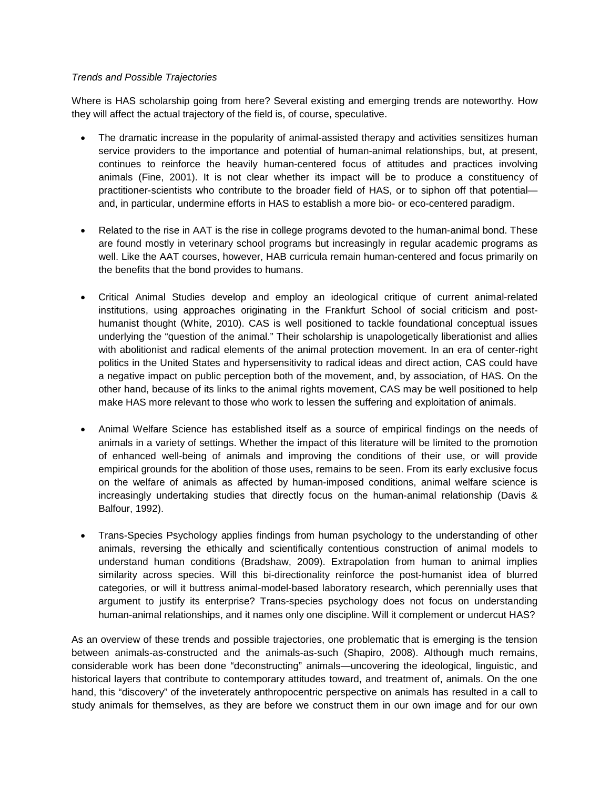## *Trends and Possible Trajectories*

Where is HAS scholarship going from here? Several existing and emerging trends are noteworthy. How they will affect the actual trajectory of the field is, of course, speculative.

- The dramatic increase in the popularity of animal-assisted therapy and activities sensitizes human service providers to the importance and potential of human-animal relationships, but, at present, continues to reinforce the heavily human-centered focus of attitudes and practices involving animals (Fine, 2001). It is not clear whether its impact will be to produce a constituency of practitioner-scientists who contribute to the broader field of HAS, or to siphon off that potential and, in particular, undermine efforts in HAS to establish a more bio- or eco-centered paradigm.
- Related to the rise in AAT is the rise in college programs devoted to the human-animal bond. These are found mostly in veterinary school programs but increasingly in regular academic programs as well. Like the AAT courses, however, HAB curricula remain human-centered and focus primarily on the benefits that the bond provides to humans.
- Critical Animal Studies develop and employ an ideological critique of current animal-related institutions, using approaches originating in the Frankfurt School of social criticism and posthumanist thought (White, 2010). CAS is well positioned to tackle foundational conceptual issues underlying the "question of the animal." Their scholarship is unapologetically liberationist and allies with abolitionist and radical elements of the animal protection movement. In an era of center-right politics in the United States and hypersensitivity to radical ideas and direct action, CAS could have a negative impact on public perception both of the movement, and, by association, of HAS. On the other hand, because of its links to the animal rights movement, CAS may be well positioned to help make HAS more relevant to those who work to lessen the suffering and exploitation of animals.
- Animal Welfare Science has established itself as a source of empirical findings on the needs of animals in a variety of settings. Whether the impact of this literature will be limited to the promotion of enhanced well-being of animals and improving the conditions of their use, or will provide empirical grounds for the abolition of those uses, remains to be seen. From its early exclusive focus on the welfare of animals as affected by human-imposed conditions, animal welfare science is increasingly undertaking studies that directly focus on the human-animal relationship (Davis & Balfour, 1992).
- Trans-Species Psychology applies findings from human psychology to the understanding of other animals, reversing the ethically and scientifically contentious construction of animal models to understand human conditions (Bradshaw, 2009). Extrapolation from human to animal implies similarity across species. Will this bi-directionality reinforce the post-humanist idea of blurred categories, or will it buttress animal-model-based laboratory research, which perennially uses that argument to justify its enterprise? Trans-species psychology does not focus on understanding human-animal relationships, and it names only one discipline. Will it complement or undercut HAS?

As an overview of these trends and possible trajectories, one problematic that is emerging is the tension between animals-as-constructed and the animals-as-such (Shapiro, 2008). Although much remains, considerable work has been done "deconstructing" animals—uncovering the ideological, linguistic, and historical layers that contribute to contemporary attitudes toward, and treatment of, animals. On the one hand, this "discovery" of the inveterately anthropocentric perspective on animals has resulted in a call to study animals for themselves, as they are before we construct them in our own image and for our own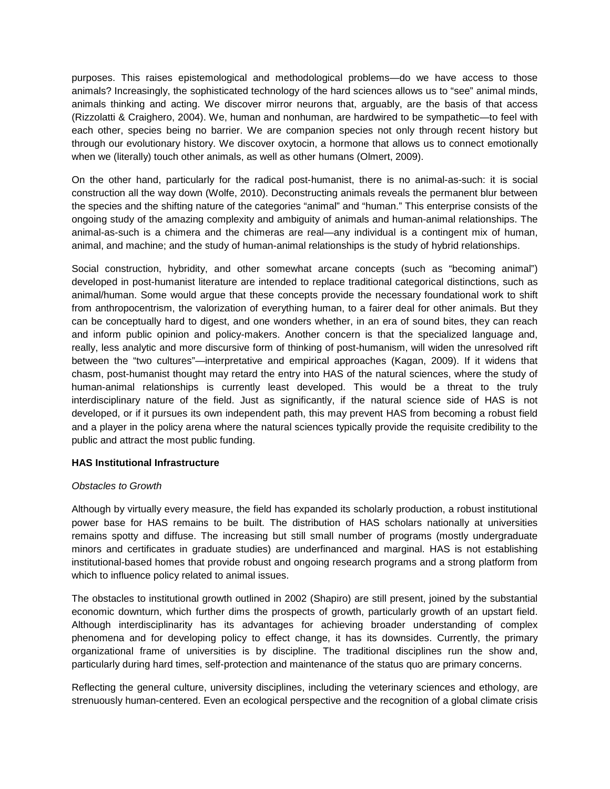purposes. This raises epistemological and methodological problems—do we have access to those animals? Increasingly, the sophisticated technology of the hard sciences allows us to "see" animal minds, animals thinking and acting. We discover mirror neurons that, arguably, are the basis of that access (Rizzolatti & Craighero, 2004). We, human and nonhuman, are hardwired to be sympathetic—to feel with each other, species being no barrier. We are companion species not only through recent history but through our evolutionary history. We discover oxytocin, a hormone that allows us to connect emotionally when we (literally) touch other animals, as well as other humans (Olmert, 2009).

On the other hand, particularly for the radical post-humanist, there is no animal-as-such: it is social construction all the way down (Wolfe, 2010). Deconstructing animals reveals the permanent blur between the species and the shifting nature of the categories "animal" and "human." This enterprise consists of the ongoing study of the amazing complexity and ambiguity of animals and human-animal relationships. The animal-as-such is a chimera and the chimeras are real—any individual is a contingent mix of human, animal, and machine; and the study of human-animal relationships is the study of hybrid relationships.

Social construction, hybridity, and other somewhat arcane concepts (such as "becoming animal") developed in post-humanist literature are intended to replace traditional categorical distinctions, such as animal/human. Some would argue that these concepts provide the necessary foundational work to shift from anthropocentrism, the valorization of everything human, to a fairer deal for other animals. But they can be conceptually hard to digest, and one wonders whether, in an era of sound bites, they can reach and inform public opinion and policy-makers. Another concern is that the specialized language and, really, less analytic and more discursive form of thinking of post-humanism, will widen the unresolved rift between the "two cultures"—interpretative and empirical approaches (Kagan, 2009). If it widens that chasm, post-humanist thought may retard the entry into HAS of the natural sciences, where the study of human-animal relationships is currently least developed. This would be a threat to the truly interdisciplinary nature of the field. Just as significantly, if the natural science side of HAS is not developed, or if it pursues its own independent path, this may prevent HAS from becoming a robust field and a player in the policy arena where the natural sciences typically provide the requisite credibility to the public and attract the most public funding.

# **HAS Institutional Infrastructure**

#### *Obstacles to Growth*

Although by virtually every measure, the field has expanded its scholarly production, a robust institutional power base for HAS remains to be built. The distribution of HAS scholars nationally at universities remains spotty and diffuse. The increasing but still small number of programs (mostly undergraduate minors and certificates in graduate studies) are underfinanced and marginal. HAS is not establishing institutional-based homes that provide robust and ongoing research programs and a strong platform from which to influence policy related to animal issues.

The obstacles to institutional growth outlined in 2002 (Shapiro) are still present, joined by the substantial economic downturn, which further dims the prospects of growth, particularly growth of an upstart field. Although interdisciplinarity has its advantages for achieving broader understanding of complex phenomena and for developing policy to effect change, it has its downsides. Currently, the primary organizational frame of universities is by discipline. The traditional disciplines run the show and, particularly during hard times, self-protection and maintenance of the status quo are primary concerns.

Reflecting the general culture, university disciplines, including the veterinary sciences and ethology, are strenuously human-centered. Even an ecological perspective and the recognition of a global climate crisis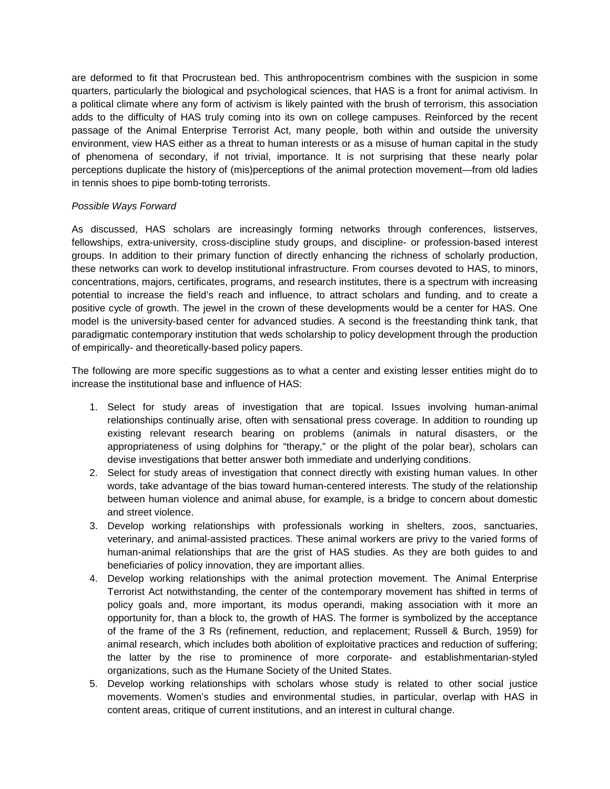are deformed to fit that Procrustean bed. This anthropocentrism combines with the suspicion in some quarters, particularly the biological and psychological sciences, that HAS is a front for animal activism. In a political climate where any form of activism is likely painted with the brush of terrorism, this association adds to the difficulty of HAS truly coming into its own on college campuses. Reinforced by the recent passage of the Animal Enterprise Terrorist Act, many people, both within and outside the university environment, view HAS either as a threat to human interests or as a misuse of human capital in the study of phenomena of secondary, if not trivial, importance. It is not surprising that these nearly polar perceptions duplicate the history of (mis)perceptions of the animal protection movement—from old ladies in tennis shoes to pipe bomb-toting terrorists.

## *Possible Ways Forward*

As discussed, HAS scholars are increasingly forming networks through conferences, listserves, fellowships, extra-university, cross-discipline study groups, and discipline- or profession-based interest groups. In addition to their primary function of directly enhancing the richness of scholarly production, these networks can work to develop institutional infrastructure. From courses devoted to HAS, to minors, concentrations, majors, certificates, programs, and research institutes, there is a spectrum with increasing potential to increase the field's reach and influence, to attract scholars and funding, and to create a positive cycle of growth. The jewel in the crown of these developments would be a center for HAS. One model is the university-based center for advanced studies. A second is the freestanding think tank, that paradigmatic contemporary institution that weds scholarship to policy development through the production of empirically- and theoretically-based policy papers.

The following are more specific suggestions as to what a center and existing lesser entities might do to increase the institutional base and influence of HAS:

- 1. Select for study areas of investigation that are topical. Issues involving human-animal relationships continually arise, often with sensational press coverage. In addition to rounding up existing relevant research bearing on problems (animals in natural disasters, or the appropriateness of using dolphins for "therapy," or the plight of the polar bear), scholars can devise investigations that better answer both immediate and underlying conditions.
- 2. Select for study areas of investigation that connect directly with existing human values. In other words, take advantage of the bias toward human-centered interests. The study of the relationship between human violence and animal abuse, for example, is a bridge to concern about domestic and street violence.
- 3. Develop working relationships with professionals working in shelters, zoos, sanctuaries, veterinary, and animal-assisted practices. These animal workers are privy to the varied forms of human-animal relationships that are the grist of HAS studies. As they are both guides to and beneficiaries of policy innovation, they are important allies.
- 4. Develop working relationships with the animal protection movement. The Animal Enterprise Terrorist Act notwithstanding, the center of the contemporary movement has shifted in terms of policy goals and, more important, its modus operandi, making association with it more an opportunity for, than a block to, the growth of HAS. The former is symbolized by the acceptance of the frame of the 3 Rs (refinement, reduction, and replacement; Russell & Burch, 1959) for animal research, which includes both abolition of exploitative practices and reduction of suffering; the latter by the rise to prominence of more corporate- and establishmentarian-styled organizations, such as the Humane Society of the United States.
- 5. Develop working relationships with scholars whose study is related to other social justice movements. Women's studies and environmental studies, in particular, overlap with HAS in content areas, critique of current institutions, and an interest in cultural change.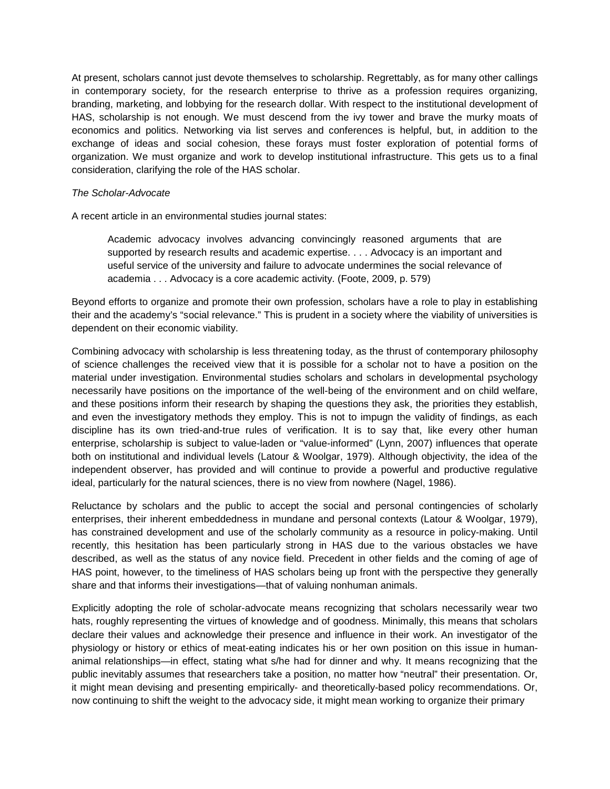At present, scholars cannot just devote themselves to scholarship. Regrettably, as for many other callings in contemporary society, for the research enterprise to thrive as a profession requires organizing, branding, marketing, and lobbying for the research dollar. With respect to the institutional development of HAS, scholarship is not enough. We must descend from the ivy tower and brave the murky moats of economics and politics. Networking via list serves and conferences is helpful, but, in addition to the exchange of ideas and social cohesion, these forays must foster exploration of potential forms of organization. We must organize and work to develop institutional infrastructure. This gets us to a final consideration, clarifying the role of the HAS scholar.

#### *The Scholar-Advocate*

A recent article in an environmental studies journal states:

Academic advocacy involves advancing convincingly reasoned arguments that are supported by research results and academic expertise. . . . Advocacy is an important and useful service of the university and failure to advocate undermines the social relevance of academia . . . Advocacy is a core academic activity. (Foote, 2009, p. 579)

Beyond efforts to organize and promote their own profession, scholars have a role to play in establishing their and the academy's "social relevance." This is prudent in a society where the viability of universities is dependent on their economic viability.

Combining advocacy with scholarship is less threatening today, as the thrust of contemporary philosophy of science challenges the received view that it is possible for a scholar not to have a position on the material under investigation. Environmental studies scholars and scholars in developmental psychology necessarily have positions on the importance of the well-being of the environment and on child welfare, and these positions inform their research by shaping the questions they ask, the priorities they establish, and even the investigatory methods they employ. This is not to impugn the validity of findings, as each discipline has its own tried-and-true rules of verification. It is to say that, like every other human enterprise, scholarship is subject to value-laden or "value-informed" (Lynn, 2007) influences that operate both on institutional and individual levels (Latour & Woolgar, 1979). Although objectivity, the idea of the independent observer, has provided and will continue to provide a powerful and productive regulative ideal, particularly for the natural sciences, there is no view from nowhere (Nagel, 1986).

Reluctance by scholars and the public to accept the social and personal contingencies of scholarly enterprises, their inherent embeddedness in mundane and personal contexts (Latour & Woolgar, 1979), has constrained development and use of the scholarly community as a resource in policy-making. Until recently, this hesitation has been particularly strong in HAS due to the various obstacles we have described, as well as the status of any novice field. Precedent in other fields and the coming of age of HAS point, however, to the timeliness of HAS scholars being up front with the perspective they generally share and that informs their investigations—that of valuing nonhuman animals.

Explicitly adopting the role of scholar-advocate means recognizing that scholars necessarily wear two hats, roughly representing the virtues of knowledge and of goodness. Minimally, this means that scholars declare their values and acknowledge their presence and influence in their work. An investigator of the physiology or history or ethics of meat-eating indicates his or her own position on this issue in humananimal relationships—in effect, stating what s/he had for dinner and why. It means recognizing that the public inevitably assumes that researchers take a position, no matter how "neutral" their presentation. Or, it might mean devising and presenting empirically- and theoretically-based policy recommendations. Or, now continuing to shift the weight to the advocacy side, it might mean working to organize their primary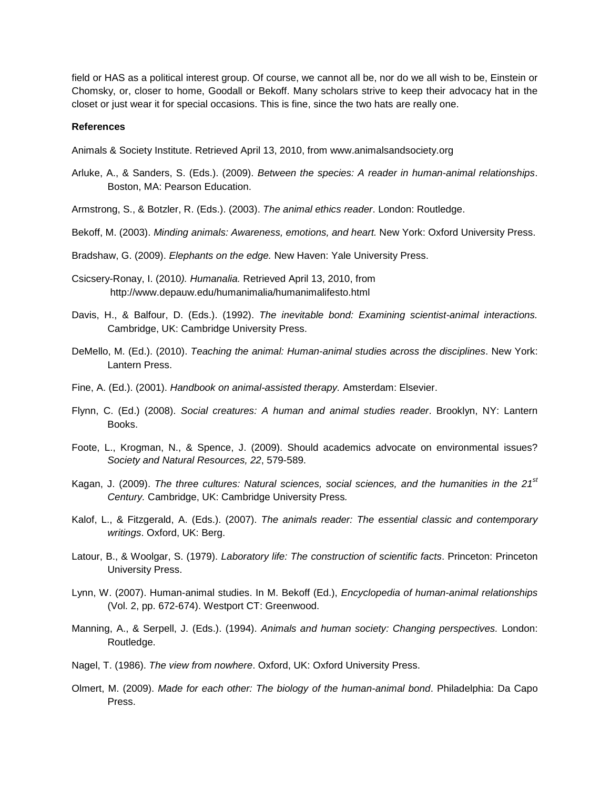field or HAS as a political interest group. Of course, we cannot all be, nor do we all wish to be, Einstein or Chomsky, or, closer to home, Goodall or Bekoff. Many scholars strive to keep their advocacy hat in the closet or just wear it for special occasions. This is fine, since the two hats are really one.

#### **References**

Animals & Society Institute. Retrieved April 13, 2010, from www.animalsandsociety.org

- Arluke, A., & Sanders, S. (Eds.). (2009). *Between the species: A reader in human-animal relationships*. Boston, MA: Pearson Education.
- Armstrong, S., & Botzler, R. (Eds.). (2003). *The animal ethics reader*. London: Routledge.
- Bekoff, M. (2003). *Minding animals: Awareness, emotions, and heart.* New York: Oxford University Press.
- Bradshaw, G. (2009). *Elephants on the edge.* New Haven: Yale University Press.
- Csicsery-Ronay, I. (2010*). Humanalia.* Retrieved April 13, 2010, from http://www.depauw.edu/humanimalia/humanimalifesto.html
- Davis, H., & Balfour, D. (Eds.). (1992). *The inevitable bond: Examining scientist-animal interactions.* Cambridge, UK: Cambridge University Press.
- DeMello, M. (Ed.). (2010). *Teaching the animal: Human-animal studies across the disciplines*. New York: Lantern Press.
- Fine, A. (Ed.). (2001). *Handbook on animal-assisted therapy.* Amsterdam: Elsevier.
- Flynn, C. (Ed.) (2008). *Social creatures: A human and animal studies reader*. Brooklyn, NY: Lantern Books.
- Foote, L., Krogman, N., & Spence, J. (2009). Should academics advocate on environmental issues? *Society and Natural Resources, 22*, 579-589.
- Kagan, J. (2009). *The three cultures: Natural sciences, social sciences, and the humanities in the 21st Century.* Cambridge, UK: Cambridge University Press*.*
- Kalof, L., & Fitzgerald, A. (Eds.). (2007). *The animals reader: The essential classic and contemporary writings*. Oxford, UK: Berg.
- Latour, B., & Woolgar, S. (1979). *Laboratory life: The construction of scientific facts*. Princeton: Princeton University Press.
- Lynn, W. (2007). Human-animal studies. In M. Bekoff (Ed.), *Encyclopedia of human-animal relationships*  (Vol. 2, pp. 672-674). Westport CT: Greenwood.
- Manning, A., & Serpell, J. (Eds.). (1994). *Animals and human society: Changing perspectives.* London: Routledge.
- Nagel, T. (1986). *The view from nowhere*. Oxford, UK: Oxford University Press.
- Olmert, M. (2009). *Made for each other: The biology of the human-animal bond*. Philadelphia: Da Capo Press.